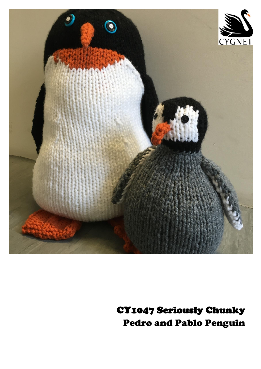

CY1047 Seriously Chunky Pedro and Pablo Penguin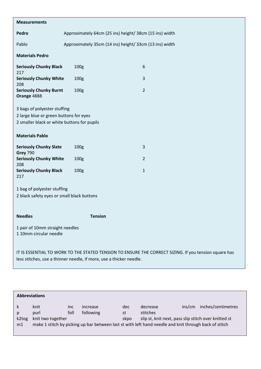| <b>Measurements</b>                                                                                                                                                          |                                                         |                |  |  |  |  |  |
|------------------------------------------------------------------------------------------------------------------------------------------------------------------------------|---------------------------------------------------------|----------------|--|--|--|--|--|
|                                                                                                                                                                              |                                                         |                |  |  |  |  |  |
| Pedro                                                                                                                                                                        | Approximately 64cm (25 ins) height/ 38cm (15 ins) width |                |  |  |  |  |  |
| Pablo                                                                                                                                                                        | Approximately 35cm (14 ins) height/ 33cm (13 ins) width |                |  |  |  |  |  |
| <b>Materials Pedro</b>                                                                                                                                                       |                                                         |                |  |  |  |  |  |
| <b>Seriously Chunky Black</b><br>217                                                                                                                                         | 100 <sub>g</sub>                                        | 6              |  |  |  |  |  |
| <b>Seriously Chunky White</b><br>208                                                                                                                                         | 100 <sub>g</sub>                                        | 3              |  |  |  |  |  |
| <b>Seriously Chunky Burnt</b><br>Orange 4888                                                                                                                                 | 100g                                                    | $\overline{2}$ |  |  |  |  |  |
| 3 bags of polyester stuffing<br>2 large blue or green buttons for eyes<br>2 smaller black or white buttons for pupils                                                        |                                                         |                |  |  |  |  |  |
| <b>Materials Pablo</b>                                                                                                                                                       |                                                         |                |  |  |  |  |  |
| <b>Seriously Chunky Slate</b><br><b>Grey 790</b>                                                                                                                             | 100 <sub>g</sub>                                        | 3              |  |  |  |  |  |
| <b>Seriously Chunky White</b><br>208                                                                                                                                         | 100 <sub>g</sub>                                        | $\overline{2}$ |  |  |  |  |  |
| <b>Seriously Chunky Black</b><br>217                                                                                                                                         | 100 <sub>g</sub>                                        | $\mathbf{1}$   |  |  |  |  |  |
| 1 bag of polyester stuffing<br>2 black safety eyes or small black buttons                                                                                                    |                                                         |                |  |  |  |  |  |
| <b>Needles</b>                                                                                                                                                               | <b>Tension</b>                                          |                |  |  |  |  |  |
| 1 pair of 10mm straight needles<br>110mm circular needle                                                                                                                     |                                                         |                |  |  |  |  |  |
| IT IS ESSENTIAL TO WORK TO THE STATED TENSION TO ENSURE THE CORRECT SIZING. If you tension square has<br>less stitches, use a thinner needle, if more, use a thicker needle. |                                                         |                |  |  |  |  |  |

| <b>Abbreviations</b> |                                                                                                                                                                                     |  |  |  |                                                                              |        |                    |  |  |  |
|----------------------|-------------------------------------------------------------------------------------------------------------------------------------------------------------------------------------|--|--|--|------------------------------------------------------------------------------|--------|--------------------|--|--|--|
| k2tog<br>m1          | knit<br>increase<br>inc.<br>foll<br>following<br>purl<br>knit two together<br>make 1 stitch by picking up bar between last st with left hand needle and knit through back of stitch |  |  |  | decrease<br>stitches<br>slip st, knit next, pass slip stitch over knitted st | ins/cm | inches/centimetres |  |  |  |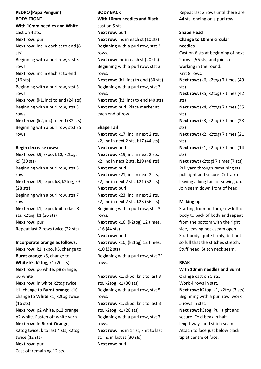**PEDRO (Papa Penguin) BODY FRONT**

**With 10mm needles and White** 

cast on 4 sts.

**Next row:** purl **Next row:** inc in each st to end (8 sts)

Beginning with a purl row, stst 3 rows.

**Next row:** inc in each st to end (16 sts)

Beginning with a purl row, stst 3 rows.

**Next row:** (k1, inc) to end (24 sts) Beginning with a purl row, stst 3 rows.

**Next row:** (k2, inc) to end (32 sts) Beginning with a purl row, stst 35 rows.

## **Begin decrease rows:**

**Next row:** k9, skpo, k10, k2tog, k9 (30 sts) Beginning with a purl row, stst 5 rows. **Next row:** k9, skpo, k8, k2tog, k9 (28 sts) Beginning with a purl row, stst 7 rows. **Next row:** k1, skpo, knit to last 3 sts, k2tog, k1 (26 sts) **Next row: purl** 

Repeat last 2 rows twice (22 sts)

## **Incorporate orange as follows:**

**Next row:** k1, skpo, k5, change to **Burnt orange** k6, change to **White** k5, k2tog, k1 (20 sts) **Next row:** p6 white, p8 orange, p6 white **Next row:** in white k2tog twice, k1, change to **Burnt orange** k10, change to **White** k1, k2tog twice (16 sts) **Next row:** p2 white, p12 orange, p2 white. Fasten off white yarn. **Next row:** in **Burnt Orange**, k2tog twice, k to last 4 sts, k2tog twice (12 sts)

**Next row: purl** Cast off remaining 12 sts.

# **BODY BACK**

**With 10mm needles and Black** cast on 5 sts.

**Next row:** purl

**Next row:** inc in each st (10 sts) Beginning with a purl row, stst 3 rows.

**Next row:** inc in each st (20 sts) Beginning with a purl row, stst 3 rows.

**Next row:** (k1, inc) to end (30 sts) Beginning with a purl row, stst 3 rows.

**Next row:** (k2, inc) to end (40 sts) **Next row:** purl. Place marker at each end of row.

# **Shape Tail**

**Next row:** k17, inc in next 2 sts, k2, inc in next 2 sts, k17 (44 sts) **Next row:** purl **Next row:** k19, inc in next 2 sts, k2, inc in next 2 sts, k19 (48 sts) **Next row:** purl **Next row:** k21, inc in next 2 sts, k2, inc in next 2 sts, k21 (52 sts) **Next row: purl Next row:** k23, inc in next 2 sts, k2, inc in next 2 sts, k23 (56 sts) Beginning with a purl row, stst 3 rows. **Next row:** k16, (k2tog) 12 times, k16 (44 sts) **Next row:** purl **Next row:** k10, (k2tog) 12 times, k10 (32 sts)

Beginning with a purl row, stst 21 rows.

**Next row:** k1, skpo, knit to last 3 sts, k2tog, k1 (30 sts) Beginning with a purl row, stst 5 rows. **Next row:** k1, skpo, knit to last 3 sts, k2tog, k1 (28 sts) Beginning with a purl row, stst 7 rows. **Next row:** inc in 1<sup>st</sup> st, knit to last st, inc in last st (30 sts) **Next row: purl** 

Repeat last 2 rows until there are 44 sts, ending on a purl row.

# **Shape Head**

**Change to 10mm circular needles**

Cast on 6 sts at beginning of next 2 rows (56 sts) and join so working in the round. Knit 8 rows. **Next row:** (k6, k2tog) 7 times (49 sts) **Next row:** (k5, k2tog) 7 times (42 sts) **Next row:** (k4, k2tog) 7 times (35 sts) **Next row:** (k3, k2tog) 7 times (28 sts) **Next row:** (k2, k2tog) 7 times (21 sts) **Next row:** (k1, k2tog) 7 times (14 sts) **Next row:** (k2tog) 7 times (7 sts) Pull yarn through remaining sts, pull tight and secure. Cut yarn leaving a long tail for sewing up. Join seam down front of head.

# **Making up**

Starting from bottom, sew left of body to back of body and repeat from the bottom with the right side, leaving neck seam open. Stuff body, quite firmly, but not so full that the stitches stretch. Stuff head. Stitch neck seam.

# **BEAK**

**With 10mm needles and Burnt** 

**Orange** cast on 5 sts. Work 4 rows in stst. **Next row:** k2tog, k1, k2tog (3 sts) Beginning with a purl row, work 5 rows in stst.

**Next row:** k3tog. Pull tight and secure. Fold beak in half lengthways and stitch seam. Attach to face just below black tip at centre of face.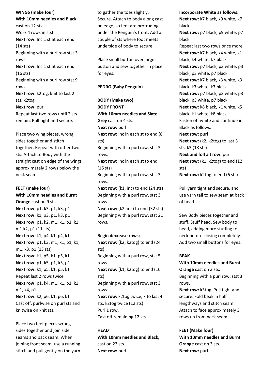**WINGS (make four) With 10mm needles and Black**  cast on 12 sts. Work 4 rows in stst. **Next row:** Inc 1 st at each end (14 sts) Beginning with a purl row stst 3 rows. **Next row:** Inc 1 st at each end (16 sts) Beginning with a purl row stst 9 rows. **Next row:** k2tog, knit to last 2 sts, k2tog **Next row: purl** Repeat last two rows until 2 sts remain. Pull tight and secure.

Place two wing pieces, wrong sides together and stitch together. Repeat with other two sts. Attach to Body with the straight cast on edge of the wings approximately 2 rows below the neck seam.

## **FEET (make four)**

**With 10mm needles and Burnt Orange** cast on 9 sts. **Next row:** p1, k3, p1, k3, p1 **Next row:** k1, p3, p1, k3, p1 **Next row:** p1, k2, m1, k1, p1, k1, m1 k2, p1 (11 sts) **Next row:** k1, p4, k1, p4, k1 **Next row:** p1, k3, m1, k1, p1, k1, m1, k3, p1 (13 sts) **Next row:** k1, p5, k1, p5, k1 **Next row:** p1, k5, p1, k5, p1 **Next row:** k1, p5, k1, p5, k1 Repeat last 2 rows twice **Next row:** p1, k4, m1, k1, p1, k1, m1, k4, p1 **Next row:** k2, p6, k1, p6, k1 Cast off, purlwise on purl sts and knitwise on knit sts.

Place two feet pieces wrong sides together and join side seams and back seam. When joining front seam, use a running stitch and pull gently on the yarn to gather the toes slightly. Secure. Attach to body along cast on edge, so feet are protruding under the Penguin's front. Add a couple of sts where foot meets underside of body to secure.

Place small button over larger button and sew together in place for eyes.

#### **PEDRO (Baby Penguin)**

**BODY (Make two) BODY FRONT With 10mm needles and Slate Grey** cast on 4 sts. **Next row: purl Next row:** inc in each st to end (8 sts) Beginning with a purl row, stst 3 rows. **Next row:** inc in each st to end (16 sts) Beginning with a purl row, stst 3 rows. **Next row:** (k1, inc) to end (24 sts) Beginning with a purl row, stst 3 rows. **Next row:** (k2, inc) to end (32 sts) Beginning with a purl row, stst 21 rows.

#### **Begin decrease rows:**

**Next row:** (k2, k2tog) to end (24 sts) Beginning with a purl row, stst 5 rows. **Next row:** (k1, k2tog) to end (16 sts) Beginning with a purl row, stst 3 rows **Next row:** k2tog twice, k to last 4 sts, k2tog twice (12 sts) Purl 1 row. Cast off remaining 12 sts.

### **HEAD**

**With 10mm needles and Black,**  cast on 23 sts. **Next row:** purl

**Incorporate White as follows:**

**Next row:** k7 black, k9 white, k7 black **Next row:** p7 black, p9 white, p7 black Repeat last two rows once more **Next row:** k7 black, k4 white, k1 black, k4 white, k7 black **Next row:** p7 black, p3 white, p3 black, p3 white, p7 black **Next row:** k7 black, k3 white, k3 black, k3 white, k7 black **Next row:** p7 black, p3 white, p3 black, p3 white, p7 black **Next row:** k8 black, k1 white, k5 black, k1 white, k8 black Fasten off white and continue in Black as follows: **Next row:** purl **Next row:** (k2, k2tog) to last 3 sts, k3 (18 sts) **Next and foll alt row:** purl **Next row:** (k1, k2tog) to end (12 sts) **Next row:** k2tog to end (6 sts)

Pull yarn tight and secure, and use yarn tail to sew seam at back of head.

Sew Body pieces together and stuff. Stuff head. Sew body to head, adding more stuffing to neck before closing completely. Add two small buttons for eyes.

#### **BEAK**

**With 10mm needles and Burnt Orange** cast on 3 sts. Beginning with a purl row, stst 3 rows. **Next row:** k3tog. Pull tight and

secure. Fold beak in half lengthways and stitch seam. Attach to face approximately 3 rows up from neck seam.

**FEET (Make four) With 10mm needles and Burnt Orange** cast on 3 sts. **Next row: purl**